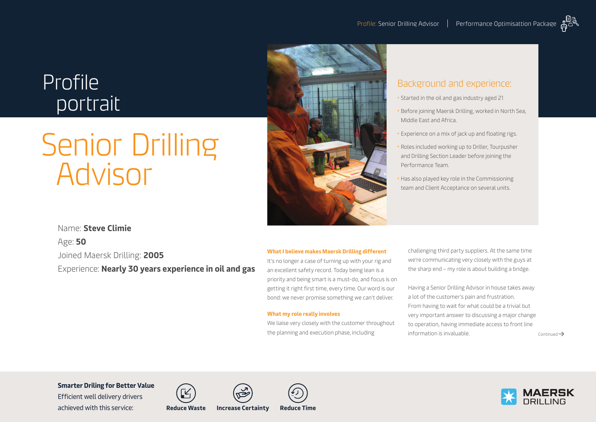## Profile portrait

# Senior Drilling Advisor



## Background and experience:

- Started in the oil and gas industry aged 21
- Before joining Maersk Drilling, worked in North Sea, Middle East and Africa.
- Experience on a mix of jack up and floating rigs.
- Roles included working up to Driller, Tourpusher and Drilling Section Leader before joining the Performance Team.
- Has also played key role in the Commissioning team and Client Acceptance on several units.

## Name: **Steve Climie**

Age: **50** Joined Maersk Drilling: **2005** Experience: **Nearly 30 years experience in oil and gas**

## **What I believe makes Maersk Drilling different**

It's no longer a case of turning up with your rig and an excellent safety record. Today being lean is a priority and being smart is a must-do, and focus is on getting it right first time, every time. Our word is our bond: we never promise something we can't deliver.

## **What my role really involves**

We liaise very closely with the customer throughout the planning and execution phase, including

challenging third party suppliers. At the same time we're communicating very closely with the guys at the sharp end – my role is about building a bridge.

Having a Senior Drilling Advisor in house takes away a lot of the customer's pain and frustration. From having to wait for what could be a trivial but very important answer to discussing a major change to operation, having immediate access to front line  $\frac{1}{2}$  information is invaluable. Continued  $\rightarrow$ 

**Smarter Driling for Better Value** 

Efficient well delivery drivers achieved with this service: **Reduce Waste Increase Certainty Reduce Time**